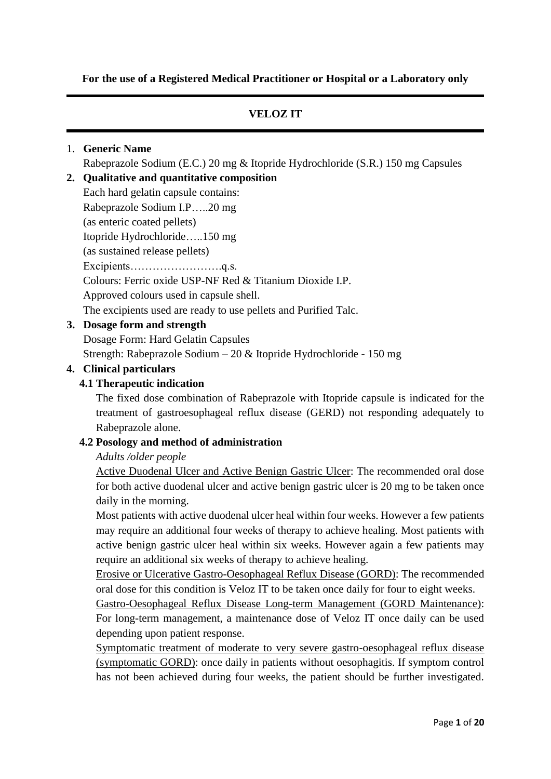**For the use of a Registered Medical Practitioner or Hospital or a Laboratory only**

# **VELOZ IT**

#### 1. **Generic Name**

Rabeprazole Sodium (E.C.) 20 mg & Itopride Hydrochloride (S.R.) 150 mg Capsules

# **2. Qualitative and quantitative composition**

Each hard gelatin capsule contains: Rabeprazole Sodium I.P…..20 mg (as enteric coated pellets) Itopride Hydrochloride…..150 mg (as sustained release pellets) Excipients…………………….q.s. Colours: Ferric oxide USP-NF Red & Titanium Dioxide I.P. Approved colours used in capsule shell. The excipients used are ready to use pellets and Purified Talc.

# **3. Dosage form and strength**

Dosage Form: Hard Gelatin Capsules

Strength: Rabeprazole Sodium – 20 & Itopride Hydrochloride - 150 mg

#### **4. Clinical particulars**

# **4.1 Therapeutic indication**

The fixed dose combination of Rabeprazole with Itopride capsule is indicated for the treatment of gastroesophageal reflux disease (GERD) not responding adequately to Rabeprazole alone.

#### **4.2 Posology and method of administration**

#### *Adults /older people*

Active Duodenal Ulcer and Active Benign Gastric Ulcer: The recommended oral dose for both active duodenal ulcer and active benign gastric ulcer is 20 mg to be taken once daily in the morning.

Most patients with active duodenal ulcer heal within four weeks. However a few patients may require an additional four weeks of therapy to achieve healing. Most patients with active benign gastric ulcer heal within six weeks. However again a few patients may require an additional six weeks of therapy to achieve healing.

Erosive or Ulcerative Gastro-Oesophageal Reflux Disease (GORD): The recommended oral dose for this condition is Veloz IT to be taken once daily for four to eight weeks.

Gastro-Oesophageal Reflux Disease Long-term Management (GORD Maintenance): For long-term management, a maintenance dose of Veloz IT once daily can be used depending upon patient response.

Symptomatic treatment of moderate to very severe gastro-oesophageal reflux disease (symptomatic GORD): once daily in patients without oesophagitis. If symptom control has not been achieved during four weeks, the patient should be further investigated.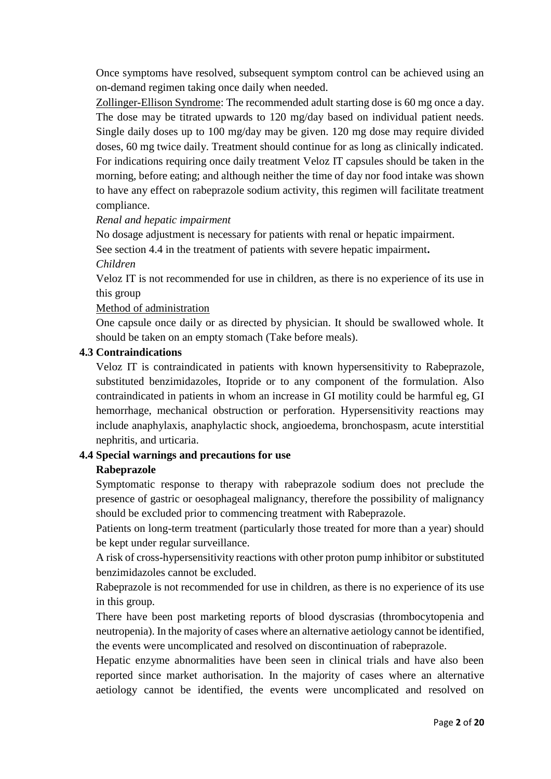Once symptoms have resolved, subsequent symptom control can be achieved using an on-demand regimen taking once daily when needed.

Zollinger-Ellison Syndrome: The recommended adult starting dose is 60 mg once a day. The dose may be titrated upwards to 120 mg/day based on individual patient needs. Single daily doses up to 100 mg/day may be given. 120 mg dose may require divided doses, 60 mg twice daily. Treatment should continue for as long as clinically indicated. For indications requiring once daily treatment Veloz IT capsules should be taken in the morning, before eating; and although neither the time of day nor food intake was shown to have any effect on rabeprazole sodium activity, this regimen will facilitate treatment compliance.

#### *Renal and hepatic impairment*

No dosage adjustment is necessary for patients with renal or hepatic impairment.

See section 4.4 in the treatment of patients with severe hepatic impairment**.**

*Children*

Veloz IT is not recommended for use in children, as there is no experience of its use in this group

#### Method of administration

One capsule once daily or as directed by physician. It should be swallowed whole. It should be taken on an empty stomach (Take before meals).

#### **4.3 Contraindications**

Veloz IT is contraindicated in patients with known hypersensitivity to Rabeprazole, substituted benzimidazoles, Itopride or to any component of the formulation. Also contraindicated in patients in whom an increase in GI motility could be harmful eg, GI hemorrhage, mechanical obstruction or perforation. Hypersensitivity reactions may include anaphylaxis, anaphylactic shock, angioedema, bronchospasm, acute interstitial nephritis, and urticaria.

#### **4.4 Special warnings and precautions for use**

#### **Rabeprazole**

Symptomatic response to therapy with rabeprazole sodium does not preclude the presence of gastric or oesophageal malignancy, therefore the possibility of malignancy should be excluded prior to commencing treatment with Rabeprazole.

Patients on long-term treatment (particularly those treated for more than a year) should be kept under regular surveillance.

A risk of cross-hypersensitivity reactions with other proton pump inhibitor or substituted benzimidazoles cannot be excluded.

Rabeprazole is not recommended for use in children, as there is no experience of its use in this group.

There have been post marketing reports of blood dyscrasias (thrombocytopenia and neutropenia). In the majority of cases where an alternative aetiology cannot be identified, the events were uncomplicated and resolved on discontinuation of rabeprazole.

Hepatic enzyme abnormalities have been seen in clinical trials and have also been reported since market authorisation. In the majority of cases where an alternative aetiology cannot be identified, the events were uncomplicated and resolved on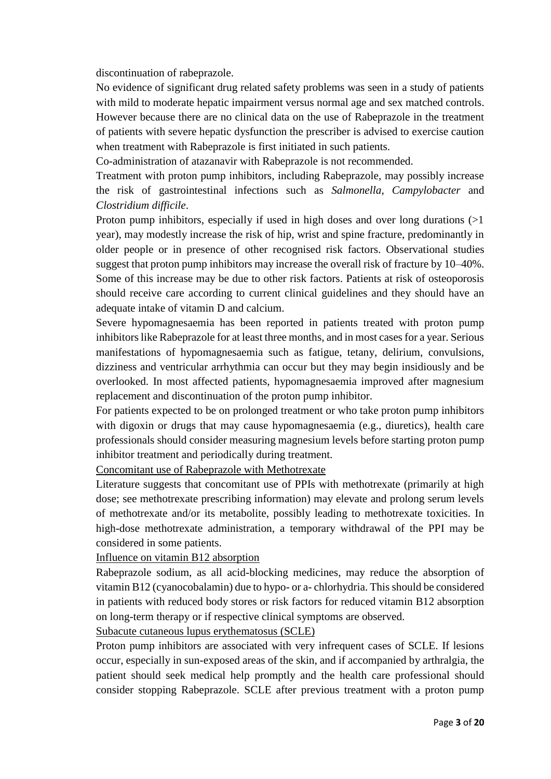discontinuation of rabeprazole.

No evidence of significant drug related safety problems was seen in a study of patients with mild to moderate hepatic impairment versus normal age and sex matched controls. However because there are no clinical data on the use of Rabeprazole in the treatment of patients with severe hepatic dysfunction the prescriber is advised to exercise caution when treatment with Rabeprazole is first initiated in such patients.

Co-administration of atazanavir with Rabeprazole is not recommended.

Treatment with proton pump inhibitors, including Rabeprazole, may possibly increase the risk of gastrointestinal infections such as *Salmonella*, *Campylobacter* and *Clostridium difficile*.

Proton pump inhibitors, especially if used in high doses and over long durations (>1 year), may modestly increase the risk of hip, wrist and spine fracture, predominantly in older people or in presence of other recognised risk factors. Observational studies suggest that proton pump inhibitors may increase the overall risk of fracture by 10–40%. Some of this increase may be due to other risk factors. Patients at risk of osteoporosis should receive care according to current clinical guidelines and they should have an adequate intake of vitamin D and calcium.

Severe hypomagnesaemia has been reported in patients treated with proton pump inhibitors like Rabeprazole for at least three months, and in most cases for a year. Serious manifestations of hypomagnesaemia such as fatigue, tetany, delirium, convulsions, dizziness and ventricular arrhythmia can occur but they may begin insidiously and be overlooked. In most affected patients, hypomagnesaemia improved after magnesium replacement and discontinuation of the proton pump inhibitor.

For patients expected to be on prolonged treatment or who take proton pump inhibitors with digoxin or drugs that may cause hypomagnesaemia (e.g., diuretics), health care professionals should consider measuring magnesium levels before starting proton pump inhibitor treatment and periodically during treatment.

Concomitant use of Rabeprazole with Methotrexate

Literature suggests that concomitant use of PPIs with methotrexate (primarily at high dose; see methotrexate prescribing information) may elevate and prolong serum levels of methotrexate and/or its metabolite, possibly leading to methotrexate toxicities. In high-dose methotrexate administration, a temporary withdrawal of the PPI may be considered in some patients.

Influence on vitamin B12 absorption

Rabeprazole sodium, as all acid-blocking medicines, may reduce the absorption of vitamin B12 (cyanocobalamin) due to hypo- or a- chlorhydria. This should be considered in patients with reduced body stores or risk factors for reduced vitamin B12 absorption on long-term therapy or if respective clinical symptoms are observed.

Subacute cutaneous lupus erythematosus (SCLE)

Proton pump inhibitors are associated with very infrequent cases of SCLE. If lesions occur, especially in sun-exposed areas of the skin, and if accompanied by arthralgia, the patient should seek medical help promptly and the health care professional should consider stopping Rabeprazole. SCLE after previous treatment with a proton pump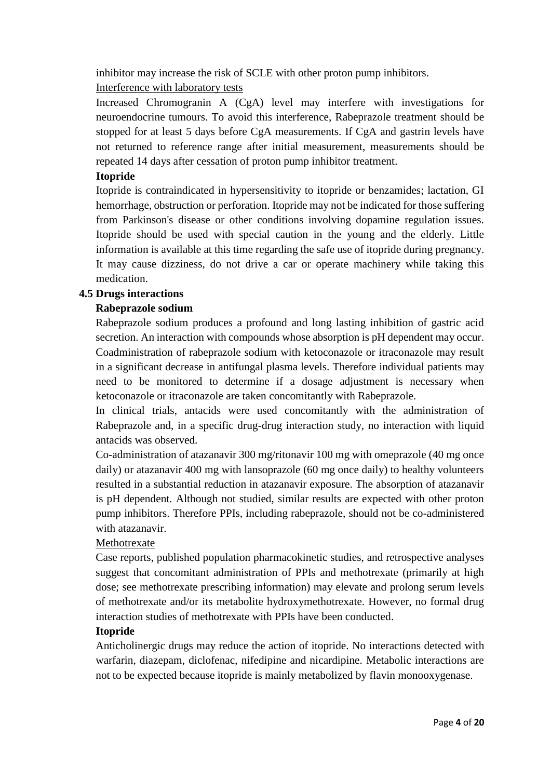inhibitor may increase the risk of SCLE with other proton pump inhibitors.

# Interference with laboratory tests

Increased Chromogranin A (CgA) level may interfere with investigations for neuroendocrine tumours. To avoid this interference, Rabeprazole treatment should be stopped for at least 5 days before CgA measurements. If CgA and gastrin levels have not returned to reference range after initial measurement, measurements should be repeated 14 days after cessation of proton pump inhibitor treatment.

# **Itopride**

Itopride is contraindicated in hypersensitivity to itopride or benzamides; lactation, GI hemorrhage, obstruction or perforation. Itopride may not be indicated for those suffering from Parkinson's disease or other conditions involving dopamine regulation issues. Itopride should be used with special caution in the young and the elderly. Little information is available at this time regarding the safe use of itopride during pregnancy. It may cause dizziness, do not drive a car or operate machinery while taking this medication.

# **4.5 Drugs interactions**

# **Rabeprazole sodium**

Rabeprazole sodium produces a profound and long lasting inhibition of gastric acid secretion. An interaction with compounds whose absorption is pH dependent may occur. Coadministration of rabeprazole sodium with ketoconazole or itraconazole may result in a significant decrease in antifungal plasma levels. Therefore individual patients may need to be monitored to determine if a dosage adjustment is necessary when ketoconazole or itraconazole are taken concomitantly with Rabeprazole.

In clinical trials, antacids were used concomitantly with the administration of Rabeprazole and, in a specific drug-drug interaction study, no interaction with liquid antacids was observed.

Co-administration of atazanavir 300 mg/ritonavir 100 mg with omeprazole (40 mg once daily) or atazanavir 400 mg with lansoprazole (60 mg once daily) to healthy volunteers resulted in a substantial reduction in atazanavir exposure. The absorption of atazanavir is pH dependent. Although not studied, similar results are expected with other proton pump inhibitors. Therefore PPIs, including rabeprazole, should not be co-administered with atazanavir.

# Methotrexate

Case reports, published population pharmacokinetic studies, and retrospective analyses suggest that concomitant administration of PPIs and methotrexate (primarily at high dose; see methotrexate prescribing information) may elevate and prolong serum levels of methotrexate and/or its metabolite hydroxymethotrexate. However, no formal drug interaction studies of methotrexate with PPIs have been conducted.

# **Itopride**

Anticholinergic drugs may reduce the action of itopride. No interactions detected with warfarin, diazepam, diclofenac, nifedipine and nicardipine. Metabolic interactions are not to be expected because itopride is mainly metabolized by flavin monooxygenase.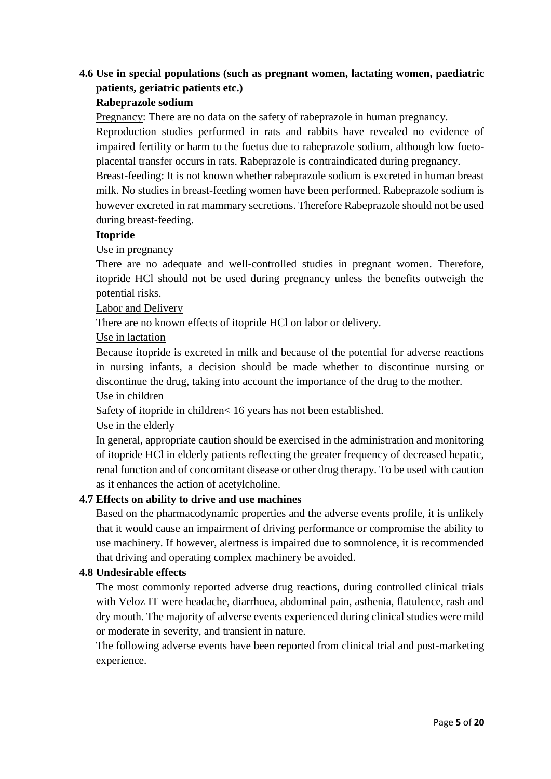# **4.6 Use in special populations (such as pregnant women, lactating women, paediatric patients, geriatric patients etc.)**

#### **Rabeprazole sodium**

Pregnancy: There are no data on the safety of rabeprazole in human pregnancy.

Reproduction studies performed in rats and rabbits have revealed no evidence of impaired fertility or harm to the foetus due to rabeprazole sodium, although low foetoplacental transfer occurs in rats. Rabeprazole is contraindicated during pregnancy.

Breast-feeding: It is not known whether rabeprazole sodium is excreted in human breast milk. No studies in breast-feeding women have been performed. Rabeprazole sodium is however excreted in rat mammary secretions. Therefore Rabeprazole should not be used during breast-feeding.

#### **Itopride**

# Use in pregnancy

There are no adequate and well-controlled studies in pregnant women. Therefore, itopride HCl should not be used during pregnancy unless the benefits outweigh the potential risks.

#### Labor and Delivery

There are no known effects of itopride HCl on labor or delivery.

# Use in lactation

Because itopride is excreted in milk and because of the potential for adverse reactions in nursing infants, a decision should be made whether to discontinue nursing or discontinue the drug, taking into account the importance of the drug to the mother.

#### Use in children

Safety of itopride in children< 16 years has not been established.

# Use in the elderly

In general, appropriate caution should be exercised in the administration and monitoring of itopride HCl in elderly patients reflecting the greater frequency of decreased hepatic, renal function and of concomitant disease or other drug therapy. To be used with caution as it enhances the action of acetylcholine.

# **4.7 Effects on ability to drive and use machines**

Based on the pharmacodynamic properties and the adverse events profile, it is unlikely that it would cause an impairment of driving performance or compromise the ability to use machinery. If however, alertness is impaired due to somnolence, it is recommended that driving and operating complex machinery be avoided.

# **4.8 Undesirable effects**

The most commonly reported adverse drug reactions, during controlled clinical trials with Veloz IT were headache, diarrhoea, abdominal pain, asthenia, flatulence, rash and dry mouth. The majority of adverse events experienced during clinical studies were mild or moderate in severity, and transient in nature.

The following adverse events have been reported from clinical trial and post-marketing experience.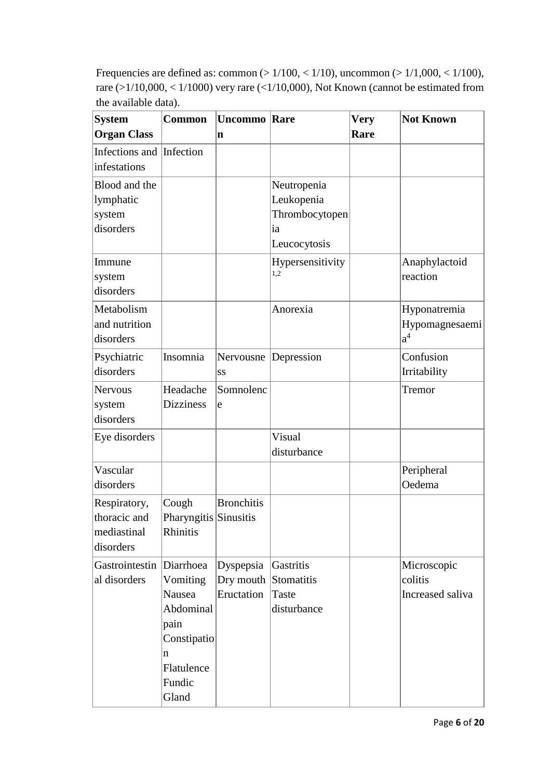Frequencies are defined as: common (> 1/100, < 1/10), uncommon (> 1/1,000, < 1/100), rare (>1/10,000, < 1/1000) very rare (<1/10,000), Not Known (cannot be estimated from the available data).

| <b>System</b><br><b>Organ Class</b>                      | <b>Common</b>                                                                                | <b>Uncommo</b> Rare<br>n                        |                                                                   | <b>Very</b><br>Rare | <b>Not Known</b>                           |
|----------------------------------------------------------|----------------------------------------------------------------------------------------------|-------------------------------------------------|-------------------------------------------------------------------|---------------------|--------------------------------------------|
| Infections and<br>infestations                           | Infection                                                                                    |                                                 |                                                                   |                     |                                            |
| Blood and the<br>lymphatic<br>system<br>disorders        |                                                                                              |                                                 | Neutropenia<br>Leukopenia<br>Thrombocytopen<br>ia<br>Leucocytosis |                     |                                            |
| Immune<br>system<br>disorders                            |                                                                                              |                                                 | Hypersensitivity<br>1,2                                           |                     | Anaphylactoid<br>reaction                  |
| Metabolism<br>and nutrition<br>disorders                 |                                                                                              |                                                 | Anorexia                                                          |                     | Hyponatremia<br>Hypomagnesaemi<br>$a^4$    |
| Psychiatric<br>disorders                                 | Insomnia                                                                                     | SS                                              | Nervousne Depression                                              |                     | Confusion<br>Irritability                  |
| Nervous<br>system<br>disorders                           | Headache<br><b>Dizziness</b>                                                                 | Somnolenc<br>e                                  |                                                                   |                     | Tremor                                     |
| Eye disorders                                            |                                                                                              |                                                 | Visual<br>disturbance                                             |                     |                                            |
| Vascular<br>disorders                                    |                                                                                              |                                                 |                                                                   |                     | Peripheral<br>Oedema                       |
| Respiratory,<br>thoracic and<br>mediastinal<br>disorders | Cough<br>Pharyngitis Sinusitis<br>Rhinitis                                                   | <b>Bronchitis</b>                               |                                                                   |                     |                                            |
| Gastrointestin Diarrhoea<br>al disorders                 | Vomiting<br>Nausea<br>Abdominal<br>pain<br>Constipatio<br>n<br>Flatulence<br>Fundic<br>Gland | Dyspepsia<br>Dry mouth Stomatitis<br>Eructation | Gastritis<br>Taste<br>disturbance                                 |                     | Microscopic<br>colitis<br>Increased saliva |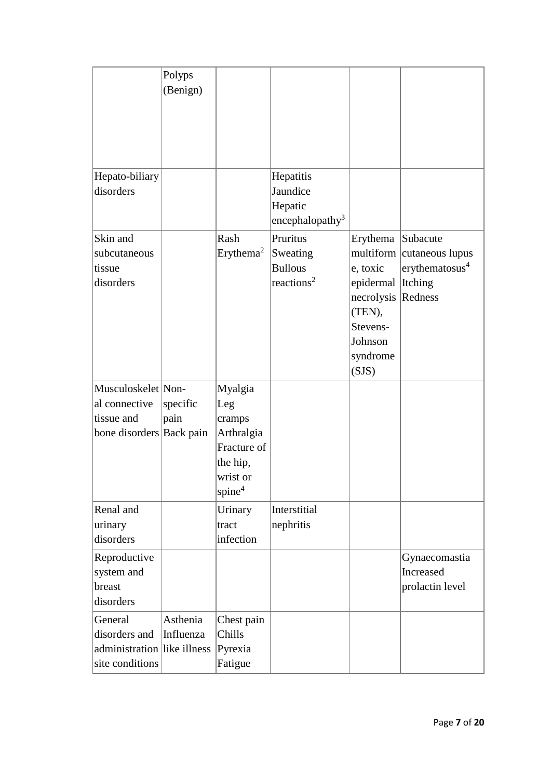|                                                                               | Polyps<br>(Benign)    |                                                                                                     |                                                                  |                                                                                                                    |                                                                                 |
|-------------------------------------------------------------------------------|-----------------------|-----------------------------------------------------------------------------------------------------|------------------------------------------------------------------|--------------------------------------------------------------------------------------------------------------------|---------------------------------------------------------------------------------|
| Hepato-biliary<br>disorders                                                   |                       |                                                                                                     | Hepatitis<br>Jaundice<br>Hepatic<br>encephalopathy <sup>3</sup>  |                                                                                                                    |                                                                                 |
| Skin and<br>subcutaneous<br>tissue<br>disorders                               |                       | Rash<br>Erythema <sup>2</sup>                                                                       | Pruritus<br>Sweating<br><b>Bullous</b><br>reactions <sup>2</sup> | Erythema<br>multiform<br>e, toxic<br>epidermal<br>necrolysis<br>(TEN),<br>Stevens-<br>Johnson<br>syndrome<br>(SJS) | Subacute<br>cutaneous lupus<br>erythematosus <sup>4</sup><br>Itching<br>Redness |
| Musculoskelet Non-<br>al connective<br>tissue and<br>bone disorders Back pain | specific<br>pain      | Myalgia<br>Leg<br>cramps<br>Arthralgia<br>Fracture of<br>the hip,<br>wrist or<br>spine <sup>4</sup> |                                                                  |                                                                                                                    |                                                                                 |
| Renal and<br>urinary<br>disorders                                             |                       | Urinary<br>tract<br>infection                                                                       | Interstitial<br>nephritis                                        |                                                                                                                    |                                                                                 |
| Reproductive<br>system and<br>breast<br>disorders                             |                       |                                                                                                     |                                                                  |                                                                                                                    | Gynaecomastia<br>Increased<br>prolactin level                                   |
| General<br>disorders and<br>administration like illness<br>site conditions    | Asthenia<br>Influenza | Chest pain<br>Chills<br>Pyrexia<br>Fatigue                                                          |                                                                  |                                                                                                                    |                                                                                 |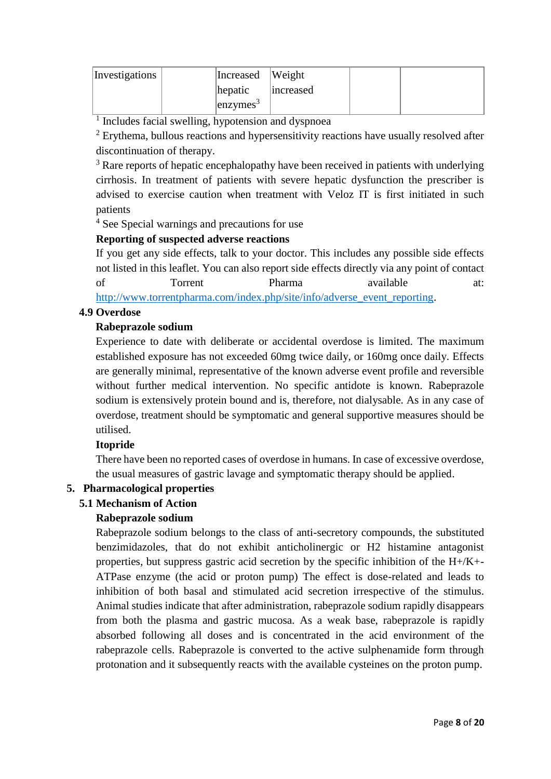| Investigations | Increased Weight    |           |  |
|----------------|---------------------|-----------|--|
|                | hepatic             | increased |  |
|                | $\text{lenzvmes}^3$ |           |  |

<sup>1</sup> Includes facial swelling, hypotension and dyspnoea

 $2$  Erythema, bullous reactions and hypersensitivity reactions have usually resolved after discontinuation of therapy.

<sup>3</sup> Rare reports of hepatic encephalopathy have been received in patients with underlying cirrhosis. In treatment of patients with severe hepatic dysfunction the prescriber is advised to exercise caution when treatment with Veloz IT is first initiated in such patients

<sup>4</sup> See Special warnings and precautions for use

# **Reporting of suspected adverse reactions**

If you get any side effects, talk to your doctor. This includes any possible side effects not listed in this leaflet. You can also report side effects directly via any point of contact of Torrent Pharma available at: [http://www.torrentpharma.com/index.php/site/info/adverse\\_event\\_reporting.](http://www.torrentpharma.com/index.php/site/info/adverse_event_reporting)

# **4.9 Overdose**

# **Rabeprazole sodium**

Experience to date with deliberate or accidental overdose is limited. The maximum established exposure has not exceeded 60mg twice daily, or 160mg once daily. Effects are generally minimal, representative of the known adverse event profile and reversible without further medical intervention. No specific antidote is known. Rabeprazole sodium is extensively protein bound and is, therefore, not dialysable. As in any case of overdose, treatment should be symptomatic and general supportive measures should be utilised.

# **Itopride**

There have been no reported cases of overdose in humans. In case of excessive overdose, the usual measures of gastric lavage and symptomatic therapy should be applied.

# **5. Pharmacological properties**

# **5.1 Mechanism of Action**

# **Rabeprazole sodium**

Rabeprazole sodium belongs to the class of anti-secretory compounds, the substituted benzimidazoles, that do not exhibit anticholinergic or H2 histamine antagonist properties, but suppress gastric acid secretion by the specific inhibition of the H+/K+- ATPase enzyme (the acid or proton pump) The effect is dose-related and leads to inhibition of both basal and stimulated acid secretion irrespective of the stimulus. Animal studies indicate that after administration, rabeprazole sodium rapidly disappears from both the plasma and gastric mucosa. As a weak base, rabeprazole is rapidly absorbed following all doses and is concentrated in the acid environment of the rabeprazole cells. Rabeprazole is converted to the active sulphenamide form through protonation and it subsequently reacts with the available cysteines on the proton pump.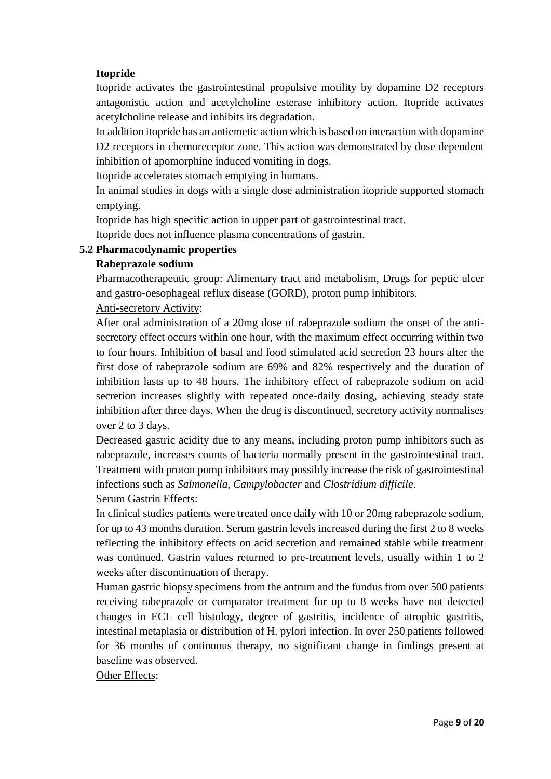# **Itopride**

Itopride activates the gastrointestinal propulsive motility by dopamine D2 receptors antagonistic action and acetylcholine esterase inhibitory action. Itopride activates acetylcholine release and inhibits its degradation.

In addition itopride has an antiemetic action which is based on interaction with dopamine D2 receptors in chemoreceptor zone. This action was demonstrated by dose dependent inhibition of apomorphine induced vomiting in dogs.

Itopride accelerates stomach emptying in humans.

In animal studies in dogs with a single dose administration itopride supported stomach emptying.

Itopride has high specific action in upper part of gastrointestinal tract.

Itopride does not influence plasma concentrations of gastrin.

# **5.2 Pharmacodynamic properties**

# **Rabeprazole sodium**

Pharmacotherapeutic group: Alimentary tract and metabolism, Drugs for peptic ulcer and gastro-oesophageal reflux disease (GORD), proton pump inhibitors.

# Anti-secretory Activity:

After oral administration of a 20mg dose of rabeprazole sodium the onset of the antisecretory effect occurs within one hour, with the maximum effect occurring within two to four hours. Inhibition of basal and food stimulated acid secretion 23 hours after the first dose of rabeprazole sodium are 69% and 82% respectively and the duration of inhibition lasts up to 48 hours. The inhibitory effect of rabeprazole sodium on acid secretion increases slightly with repeated once-daily dosing, achieving steady state inhibition after three days. When the drug is discontinued, secretory activity normalises over 2 to 3 days.

Decreased gastric acidity due to any means, including proton pump inhibitors such as rabeprazole, increases counts of bacteria normally present in the gastrointestinal tract. Treatment with proton pump inhibitors may possibly increase the risk of gastrointestinal infections such as *Salmonella, Campylobacter* and *Clostridium difficile*.

Serum Gastrin Effects:

In clinical studies patients were treated once daily with 10 or 20mg rabeprazole sodium, for up to 43 months duration. Serum gastrin levels increased during the first 2 to 8 weeks reflecting the inhibitory effects on acid secretion and remained stable while treatment was continued. Gastrin values returned to pre-treatment levels, usually within 1 to 2 weeks after discontinuation of therapy.

Human gastric biopsy specimens from the antrum and the fundus from over 500 patients receiving rabeprazole or comparator treatment for up to 8 weeks have not detected changes in ECL cell histology, degree of gastritis, incidence of atrophic gastritis, intestinal metaplasia or distribution of H. pylori infection. In over 250 patients followed for 36 months of continuous therapy, no significant change in findings present at baseline was observed.

Other Effects: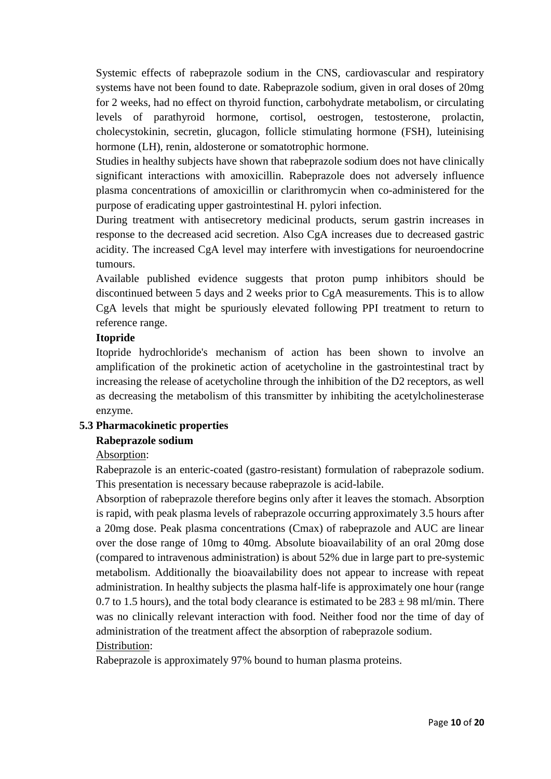Systemic effects of rabeprazole sodium in the CNS, cardiovascular and respiratory systems have not been found to date. Rabeprazole sodium, given in oral doses of 20mg for 2 weeks, had no effect on thyroid function, carbohydrate metabolism, or circulating levels of parathyroid hormone, cortisol, oestrogen, testosterone, prolactin, cholecystokinin, secretin, glucagon, follicle stimulating hormone (FSH), luteinising hormone (LH), renin, aldosterone or somatotrophic hormone.

Studies in healthy subjects have shown that rabeprazole sodium does not have clinically significant interactions with amoxicillin. Rabeprazole does not adversely influence plasma concentrations of amoxicillin or clarithromycin when co-administered for the purpose of eradicating upper gastrointestinal H. pylori infection.

During treatment with antisecretory medicinal products, serum gastrin increases in response to the decreased acid secretion. Also CgA increases due to decreased gastric acidity. The increased CgA level may interfere with investigations for neuroendocrine tumours.

Available published evidence suggests that proton pump inhibitors should be discontinued between 5 days and 2 weeks prior to CgA measurements. This is to allow CgA levels that might be spuriously elevated following PPI treatment to return to reference range.

#### **Itopride**

Itopride hydrochloride's mechanism of action has been shown to involve an amplification of the prokinetic action of acetycholine in the gastrointestinal tract by increasing the release of acetycholine through the inhibition of the D2 receptors, as well as decreasing the metabolism of this transmitter by inhibiting the acetylcholinesterase enzyme.

# **5.3 Pharmacokinetic properties**

# **Rabeprazole sodium**

# Absorption:

Rabeprazole is an enteric-coated (gastro-resistant) formulation of rabeprazole sodium. This presentation is necessary because rabeprazole is acid-labile.

Absorption of rabeprazole therefore begins only after it leaves the stomach. Absorption is rapid, with peak plasma levels of rabeprazole occurring approximately 3.5 hours after a 20mg dose. Peak plasma concentrations (Cmax) of rabeprazole and AUC are linear over the dose range of 10mg to 40mg. Absolute bioavailability of an oral 20mg dose (compared to intravenous administration) is about 52% due in large part to pre-systemic metabolism. Additionally the bioavailability does not appear to increase with repeat administration. In healthy subjects the plasma half-life is approximately one hour (range 0.7 to 1.5 hours), and the total body clearance is estimated to be  $283 \pm 98$  ml/min. There was no clinically relevant interaction with food. Neither food nor the time of day of administration of the treatment affect the absorption of rabeprazole sodium.

# Distribution:

Rabeprazole is approximately 97% bound to human plasma proteins.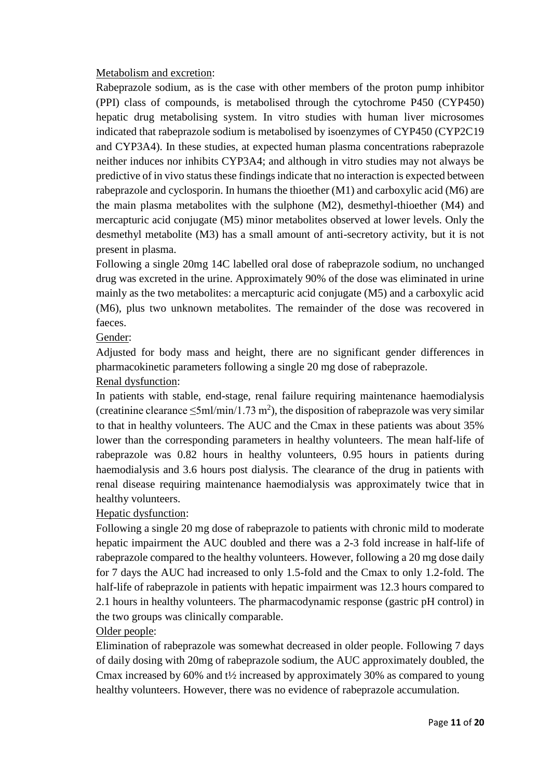#### Metabolism and excretion:

Rabeprazole sodium, as is the case with other members of the proton pump inhibitor (PPI) class of compounds, is metabolised through the cytochrome P450 (CYP450) hepatic drug metabolising system. In vitro studies with human liver microsomes indicated that rabeprazole sodium is metabolised by isoenzymes of CYP450 (CYP2C19 and CYP3A4). In these studies, at expected human plasma concentrations rabeprazole neither induces nor inhibits CYP3A4; and although in vitro studies may not always be predictive of in vivo status these findings indicate that no interaction is expected between rabeprazole and cyclosporin. In humans the thioether (M1) and carboxylic acid (M6) are the main plasma metabolites with the sulphone (M2), desmethyl-thioether (M4) and mercapturic acid conjugate (M5) minor metabolites observed at lower levels. Only the desmethyl metabolite (M3) has a small amount of anti-secretory activity, but it is not present in plasma.

Following a single 20mg 14C labelled oral dose of rabeprazole sodium, no unchanged drug was excreted in the urine. Approximately 90% of the dose was eliminated in urine mainly as the two metabolites: a mercapturic acid conjugate (M5) and a carboxylic acid (M6), plus two unknown metabolites. The remainder of the dose was recovered in faeces.

# Gender:

Adjusted for body mass and height, there are no significant gender differences in pharmacokinetic parameters following a single 20 mg dose of rabeprazole.

#### Renal dysfunction:

In patients with stable, end-stage, renal failure requiring maintenance haemodialysis (creatinine clearance  $\leq$ 5ml/min/1.73 m<sup>2</sup>), the disposition of rabeprazole was very similar to that in healthy volunteers. The AUC and the Cmax in these patients was about 35% lower than the corresponding parameters in healthy volunteers. The mean half-life of rabeprazole was 0.82 hours in healthy volunteers, 0.95 hours in patients during haemodialysis and 3.6 hours post dialysis. The clearance of the drug in patients with renal disease requiring maintenance haemodialysis was approximately twice that in healthy volunteers.

Hepatic dysfunction:

Following a single 20 mg dose of rabeprazole to patients with chronic mild to moderate hepatic impairment the AUC doubled and there was a 2-3 fold increase in half-life of rabeprazole compared to the healthy volunteers. However, following a 20 mg dose daily for 7 days the AUC had increased to only 1.5-fold and the Cmax to only 1.2-fold. The half-life of rabeprazole in patients with hepatic impairment was 12.3 hours compared to 2.1 hours in healthy volunteers. The pharmacodynamic response (gastric pH control) in the two groups was clinically comparable.

# Older people:

Elimination of rabeprazole was somewhat decreased in older people. Following 7 days of daily dosing with 20mg of rabeprazole sodium, the AUC approximately doubled, the Cmax increased by 60% and t½ increased by approximately 30% as compared to young healthy volunteers. However, there was no evidence of rabeprazole accumulation.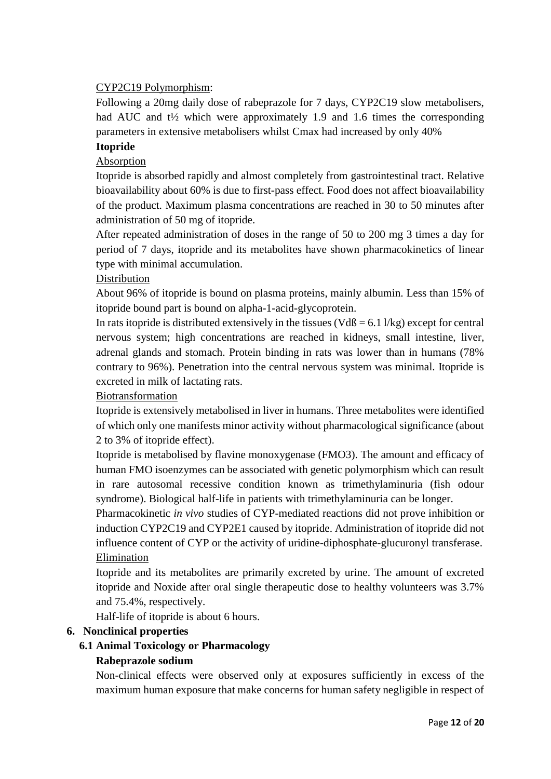# CYP2C19 Polymorphism:

Following a 20mg daily dose of rabeprazole for 7 days, CYP2C19 slow metabolisers, had AUC and t<sup>1</sup>/<sub>2</sub> which were approximately 1.9 and 1.6 times the corresponding parameters in extensive metabolisers whilst Cmax had increased by only 40%

# **Itopride**

# Absorption

Itopride is absorbed rapidly and almost completely from gastrointestinal tract. Relative bioavailability about 60% is due to first-pass effect. Food does not affect bioavailability of the product. Maximum plasma concentrations are reached in 30 to 50 minutes after administration of 50 mg of itopride.

After repeated administration of doses in the range of 50 to 200 mg 3 times a day for period of 7 days, itopride and its metabolites have shown pharmacokinetics of linear type with minimal accumulation.

# Distribution

About 96% of itopride is bound on plasma proteins, mainly albumin. Less than 15% of itopride bound part is bound on alpha-1-acid-glycoprotein.

In rats itopride is distributed extensively in the tissues ( $VdB = 6.1$  l/kg) except for central nervous system; high concentrations are reached in kidneys, small intestine, liver, adrenal glands and stomach. Protein binding in rats was lower than in humans (78% contrary to 96%). Penetration into the central nervous system was minimal. Itopride is excreted in milk of lactating rats.

# Biotransformation

Itopride is extensively metabolised in liver in humans. Three metabolites were identified of which only one manifests minor activity without pharmacological significance (about 2 to 3% of itopride effect).

Itopride is metabolised by flavine monoxygenase (FMO3). The amount and efficacy of human FMO isoenzymes can be associated with genetic polymorphism which can result in rare autosomal recessive condition known as trimethylaminuria (fish odour syndrome). Biological half-life in patients with trimethylaminuria can be longer.

Pharmacokinetic *in vivo* studies of CYP-mediated reactions did not prove inhibition or induction CYP2C19 and CYP2E1 caused by itopride. Administration of itopride did not influence content of CYP or the activity of uridine-diphosphate-glucuronyl transferase. Elimination

Itopride and its metabolites are primarily excreted by urine. The amount of excreted itopride and Noxide after oral single therapeutic dose to healthy volunteers was 3.7% and 75.4%, respectively.

Half-life of itopride is about 6 hours.

# **6. Nonclinical properties**

# **6.1 Animal Toxicology or Pharmacology**

# **Rabeprazole sodium**

Non-clinical effects were observed only at exposures sufficiently in excess of the maximum human exposure that make concerns for human safety negligible in respect of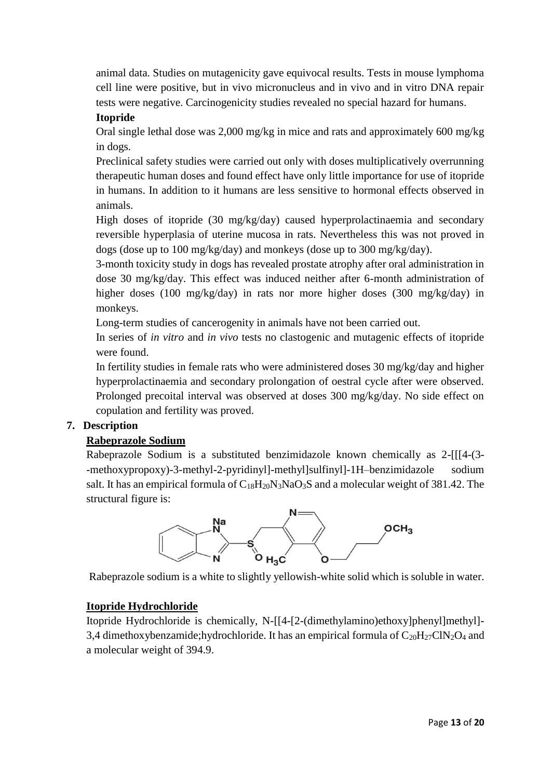animal data. Studies on mutagenicity gave equivocal results. Tests in mouse lymphoma cell line were positive, but in vivo micronucleus and in vivo and in vitro DNA repair tests were negative. Carcinogenicity studies revealed no special hazard for humans.

# **Itopride**

Oral single lethal dose was 2,000 mg/kg in mice and rats and approximately 600 mg/kg in dogs.

Preclinical safety studies were carried out only with doses multiplicatively overrunning therapeutic human doses and found effect have only little importance for use of itopride in humans. In addition to it humans are less sensitive to hormonal effects observed in animals.

High doses of itopride (30 mg/kg/day) caused hyperprolactinaemia and secondary reversible hyperplasia of uterine mucosa in rats. Nevertheless this was not proved in dogs (dose up to 100 mg/kg/day) and monkeys (dose up to 300 mg/kg/day).

3-month toxicity study in dogs has revealed prostate atrophy after oral administration in dose 30 mg/kg/day. This effect was induced neither after 6-month administration of higher doses (100 mg/kg/day) in rats nor more higher doses (300 mg/kg/day) in monkeys.

Long-term studies of cancerogenity in animals have not been carried out.

In series of *in vitro* and *in vivo* tests no clastogenic and mutagenic effects of itopride were found.

In fertility studies in female rats who were administered doses 30 mg/kg/day and higher hyperprolactinaemia and secondary prolongation of oestral cycle after were observed. Prolonged precoital interval was observed at doses 300 mg/kg/day. No side effect on copulation and fertility was proved.

# **7. Description**

# **Rabeprazole Sodium**

Rabeprazole Sodium is a substituted benzimidazole known chemically as 2-[[[4-(3- -methoxypropoxy)-3-methyl-2-pyridinyl]-methyl]sulfinyl]-1H–benzimidazole sodium salt. It has an empirical formula of  $C_{18}H_{20}N_3NaO_3S$  and a molecular weight of 381.42. The structural figure is:



Rabeprazole sodium is a white to slightly yellowish-white solid which is soluble in water.

# **Itopride Hydrochloride**

Itopride Hydrochloride is chemically, N-[[4-[2-(dimethylamino)ethoxy]phenyl]methyl]- 3,4 dimethoxybenzamide;hydrochloride. It has an empirical formula of  $C_{20}H_{27}C1N_2O_4$  and a molecular weight of 394.9.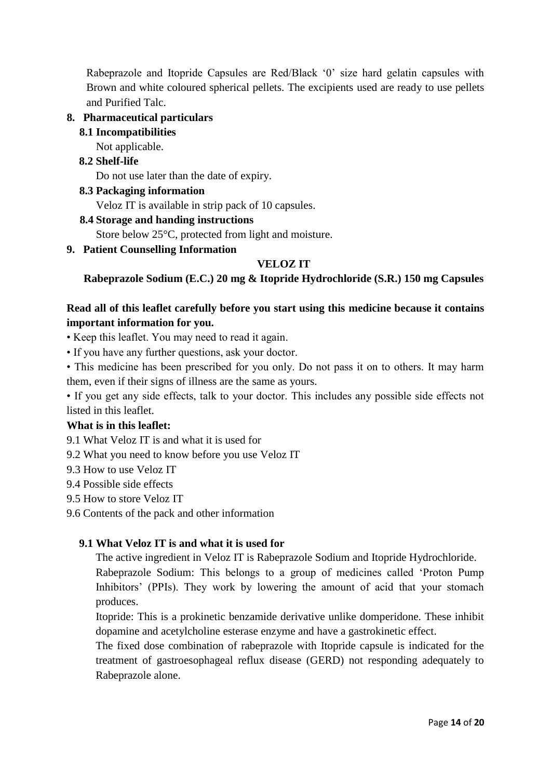Rabeprazole and Itopride Capsules are Red/Black '0' size hard gelatin capsules with Brown and white coloured spherical pellets. The excipients used are ready to use pellets and Purified Talc.

#### **8. Pharmaceutical particulars**

#### **8.1 Incompatibilities**

Not applicable.

# **8.2 Shelf-life**

Do not use later than the date of expiry.

#### **8.3 Packaging information**

Veloz IT is available in strip pack of 10 capsules.

#### **8.4 Storage and handing instructions**

Store below 25°C, protected from light and moisture.

#### **9. Patient Counselling Information**

# **VELOZ IT**

**Rabeprazole Sodium (E.C.) 20 mg & Itopride Hydrochloride (S.R.) 150 mg Capsules**

# **Read all of this leaflet carefully before you start using this medicine because it contains important information for you.**

• Keep this leaflet. You may need to read it again.

- If you have any further questions, ask your doctor.
- This medicine has been prescribed for you only. Do not pass it on to others. It may harm them, even if their signs of illness are the same as yours.

• If you get any side effects, talk to your doctor. This includes any possible side effects not listed in this leaflet.

#### **What is in this leaflet:**

9.1 What Veloz IT is and what it is used for

- 9.2 What you need to know before you use Veloz IT
- 9.3 How to use Veloz IT
- 9.4 Possible side effects
- 9.5 How to store Veloz IT
- 9.6 Contents of the pack and other information

# **9.1 What Veloz IT is and what it is used for**

The active ingredient in Veloz IT is Rabeprazole Sodium and Itopride Hydrochloride.

Rabeprazole Sodium: This belongs to a group of medicines called 'Proton Pump Inhibitors' (PPIs). They work by lowering the amount of acid that your stomach produces.

Itopride: This is a prokinetic benzamide derivative unlike domperidone. These inhibit dopamine and acetylcholine esterase enzyme and have a gastrokinetic effect.

The fixed dose combination of rabeprazole with Itopride capsule is indicated for the treatment of gastroesophageal reflux disease (GERD) not responding adequately to Rabeprazole alone.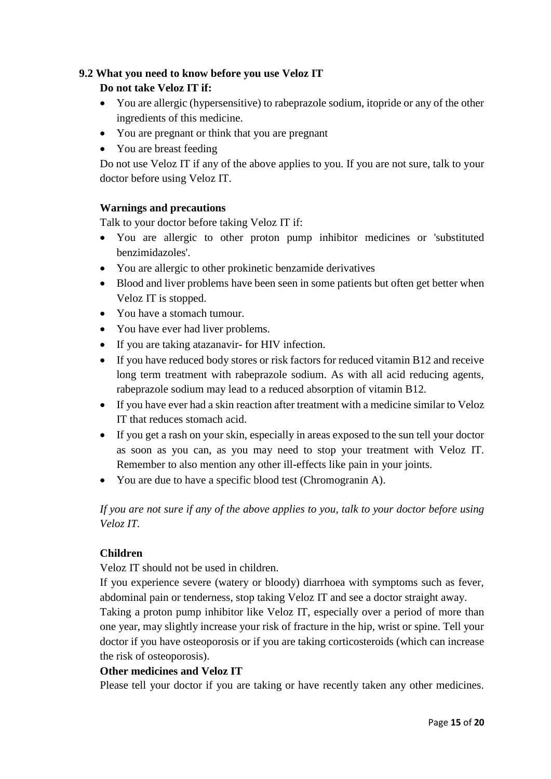# **9.2 What you need to know before you use Veloz IT**

# **Do not take Veloz IT if:**

- You are allergic (hypersensitive) to rabeprazole sodium, itopride or any of the other ingredients of this medicine.
- You are pregnant or think that you are pregnant
- You are breast feeding

Do not use Veloz IT if any of the above applies to you. If you are not sure, talk to your doctor before using Veloz IT.

# **Warnings and precautions**

Talk to your doctor before taking Veloz IT if:

- You are allergic to other proton pump inhibitor medicines or 'substituted benzimidazoles'.
- You are allergic to other prokinetic benzamide derivatives
- Blood and liver problems have been seen in some patients but often get better when Veloz IT is stopped.
- You have a stomach tumour.
- You have ever had liver problems.
- If you are taking atazanavir- for HIV infection.
- If you have reduced body stores or risk factors for reduced vitamin B12 and receive long term treatment with rabeprazole sodium. As with all acid reducing agents, rabeprazole sodium may lead to a reduced absorption of vitamin B12.
- If you have ever had a skin reaction after treatment with a medicine similar to Veloz IT that reduces stomach acid.
- If you get a rash on your skin, especially in areas exposed to the sun tell your doctor as soon as you can, as you may need to stop your treatment with Veloz IT. Remember to also mention any other ill-effects like pain in your joints.
- You are due to have a specific blood test (Chromogranin A).

*If you are not sure if any of the above applies to you, talk to your doctor before using Veloz IT.*

# **Children**

Veloz IT should not be used in children.

If you experience severe (watery or bloody) diarrhoea with symptoms such as fever, abdominal pain or tenderness, stop taking Veloz IT and see a doctor straight away.

Taking a proton pump inhibitor like Veloz IT, especially over a period of more than one year, may slightly increase your risk of fracture in the hip, wrist or spine. Tell your doctor if you have osteoporosis or if you are taking corticosteroids (which can increase the risk of osteoporosis).

# **Other medicines and Veloz IT**

Please tell your doctor if you are taking or have recently taken any other medicines.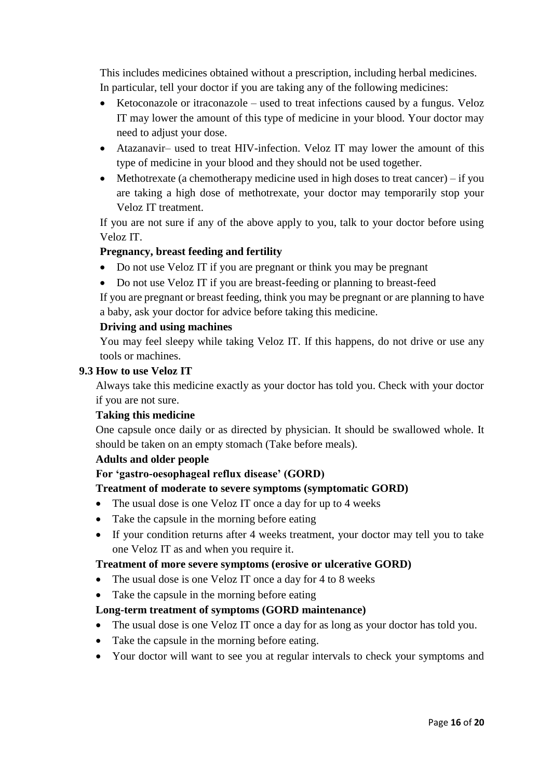This includes medicines obtained without a prescription, including herbal medicines. In particular, tell your doctor if you are taking any of the following medicines:

- Ketoconazole or itraconazole used to treat infections caused by a fungus. Veloz IT may lower the amount of this type of medicine in your blood. Your doctor may need to adjust your dose.
- Atazanavir– used to treat HIV-infection. Veloz IT may lower the amount of this type of medicine in your blood and they should not be used together.
- $\bullet$  Methotrexate (a chemotherapy medicine used in high doses to treat cancer) if you are taking a high dose of methotrexate, your doctor may temporarily stop your Veloz IT treatment.

If you are not sure if any of the above apply to you, talk to your doctor before using Veloz IT.

# **Pregnancy, breast feeding and fertility**

- Do not use Veloz IT if you are pregnant or think you may be pregnant
- Do not use Veloz IT if you are breast-feeding or planning to breast-feed

If you are pregnant or breast feeding, think you may be pregnant or are planning to have a baby, ask your doctor for advice before taking this medicine.

#### **Driving and using machines**

You may feel sleepy while taking Veloz IT. If this happens, do not drive or use any tools or machines.

#### **9.3 How to use Veloz IT**

Always take this medicine exactly as your doctor has told you. Check with your doctor if you are not sure.

#### **Taking this medicine**

One capsule once daily or as directed by physician. It should be swallowed whole. It should be taken on an empty stomach (Take before meals).

#### **Adults and older people**

#### **For 'gastro-oesophageal reflux disease' (GORD)**

#### **Treatment of moderate to severe symptoms (symptomatic GORD)**

- The usual dose is one Veloz IT once a day for up to 4 weeks
- Take the capsule in the morning before eating
- If your condition returns after 4 weeks treatment, your doctor may tell you to take one Veloz IT as and when you require it.

#### **Treatment of more severe symptoms (erosive or ulcerative GORD)**

- The usual dose is one Veloz IT once a day for 4 to 8 weeks
- Take the capsule in the morning before eating

#### **Long-term treatment of symptoms (GORD maintenance)**

- The usual dose is one Veloz IT once a day for as long as your doctor has told you.
- Take the capsule in the morning before eating.
- Your doctor will want to see you at regular intervals to check your symptoms and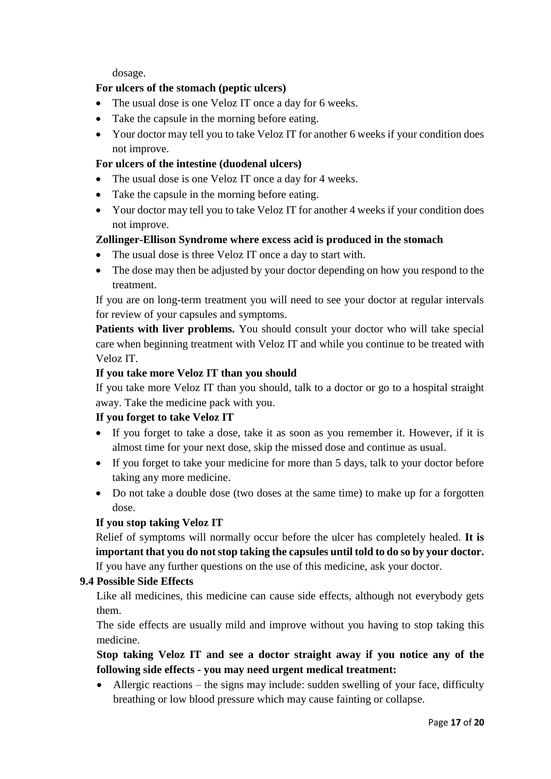dosage.

#### **For ulcers of the stomach (peptic ulcers)**

- The usual dose is one Veloz IT once a day for 6 weeks.
- Take the capsule in the morning before eating.
- Your doctor may tell you to take Veloz IT for another 6 weeks if your condition does not improve.

#### **For ulcers of the intestine (duodenal ulcers)**

- The usual dose is one Veloz IT once a day for 4 weeks.
- Take the capsule in the morning before eating.
- Your doctor may tell you to take Veloz IT for another 4 weeks if your condition does not improve.

#### **Zollinger-Ellison Syndrome where excess acid is produced in the stomach**

- The usual dose is three Veloz IT once a day to start with.
- The dose may then be adjusted by your doctor depending on how you respond to the treatment.

If you are on long-term treatment you will need to see your doctor at regular intervals for review of your capsules and symptoms.

**Patients with liver problems.** You should consult your doctor who will take special care when beginning treatment with Veloz IT and while you continue to be treated with Veloz IT.

#### **If you take more Veloz IT than you should**

If you take more Veloz IT than you should, talk to a doctor or go to a hospital straight away. Take the medicine pack with you.

#### **If you forget to take Veloz IT**

- If you forget to take a dose, take it as soon as you remember it. However, if it is almost time for your next dose, skip the missed dose and continue as usual.
- If you forget to take your medicine for more than 5 days, talk to your doctor before taking any more medicine.
- Do not take a double dose (two doses at the same time) to make up for a forgotten dose.

# **If you stop taking Veloz IT**

Relief of symptoms will normally occur before the ulcer has completely healed. **It is important that you do not stop taking the capsules until told to do so by your doctor.** If you have any further questions on the use of this medicine, ask your doctor.

# **9.4 Possible Side Effects**

Like all medicines, this medicine can cause side effects, although not everybody gets them.

The side effects are usually mild and improve without you having to stop taking this medicine.

**Stop taking Veloz IT and see a doctor straight away if you notice any of the following side effects - you may need urgent medical treatment:**

 Allergic reactions – the signs may include: sudden swelling of your face, difficulty breathing or low blood pressure which may cause fainting or collapse.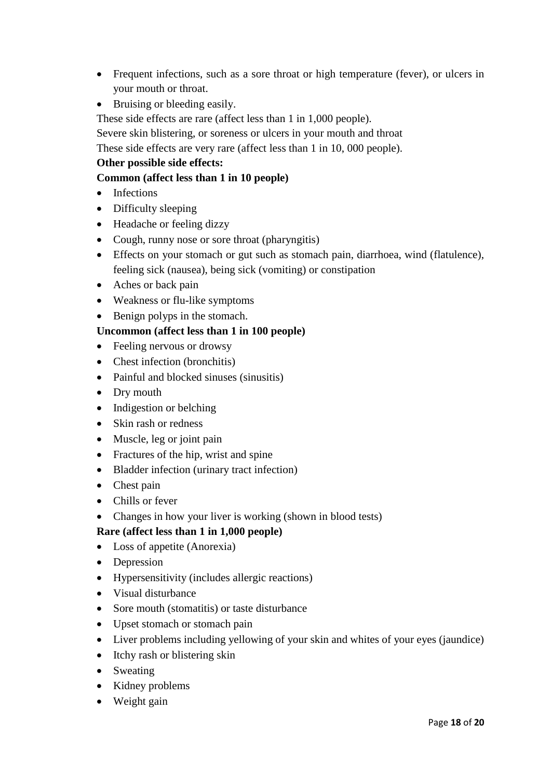- Frequent infections, such as a sore throat or high temperature (fever), or ulcers in your mouth or throat.
- Bruising or bleeding easily.

These side effects are rare (affect less than 1 in 1,000 people).

Severe skin blistering, or soreness or ulcers in your mouth and throat

These side effects are very rare (affect less than 1 in 10, 000 people).

# **Other possible side effects:**

# **Common (affect less than 1 in 10 people)**

- Infections
- Difficulty sleeping
- Headache or feeling dizzy
- Cough, runny nose or sore throat (pharyngitis)
- Effects on your stomach or gut such as stomach pain, diarrhoea, wind (flatulence), feeling sick (nausea), being sick (vomiting) or constipation
- Aches or back pain
- Weakness or flu-like symptoms
- Benign polyps in the stomach.

# **Uncommon (affect less than 1 in 100 people)**

- Feeling nervous or drowsy
- Chest infection (bronchitis)
- Painful and blocked sinuses (sinusitis)
- Dry mouth
- Indigestion or belching
- Skin rash or redness
- Muscle, leg or joint pain
- Fractures of the hip, wrist and spine
- Bladder infection (urinary tract infection)
- Chest pain
- Chills or fever
- Changes in how your liver is working (shown in blood tests)

# **Rare (affect less than 1 in 1,000 people)**

- Loss of appetite (Anorexia)
- Depression
- Hypersensitivity (includes allergic reactions)
- Visual disturbance
- Sore mouth (stomatitis) or taste disturbance
- Upset stomach or stomach pain
- Liver problems including yellowing of your skin and whites of your eyes (jaundice)
- Itchy rash or blistering skin
- Sweating
- Kidney problems
- Weight gain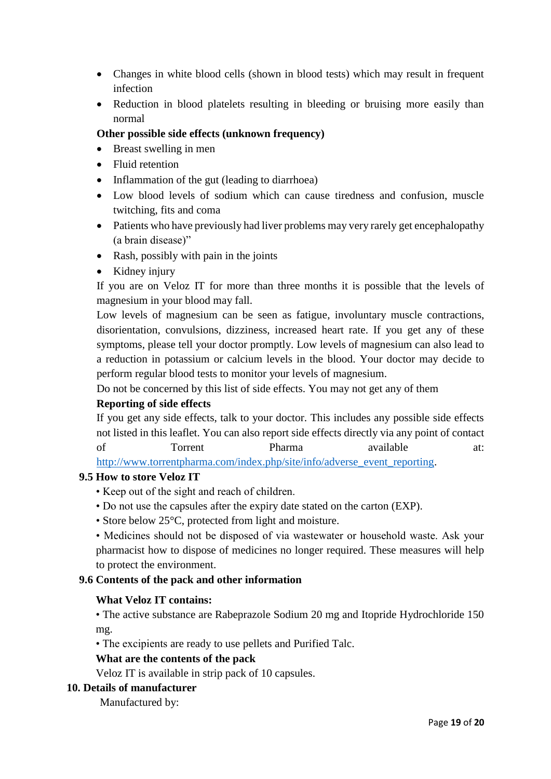- Changes in white blood cells (shown in blood tests) which may result in frequent infection
- Reduction in blood platelets resulting in bleeding or bruising more easily than normal

# **Other possible side effects (unknown frequency)**

- Breast swelling in men
- Fluid retention
- Inflammation of the gut (leading to diarrhoea)
- Low blood levels of sodium which can cause tiredness and confusion, muscle twitching, fits and coma
- Patients who have previously had liver problems may very rarely get encephalopathy (a brain disease)"
- Rash, possibly with pain in the joints
- Kidney injury

If you are on Veloz IT for more than three months it is possible that the levels of magnesium in your blood may fall.

Low levels of magnesium can be seen as fatigue, involuntary muscle contractions, disorientation, convulsions, dizziness, increased heart rate. If you get any of these symptoms, please tell your doctor promptly. Low levels of magnesium can also lead to a reduction in potassium or calcium levels in the blood. Your doctor may decide to perform regular blood tests to monitor your levels of magnesium.

Do not be concerned by this list of side effects. You may not get any of them

#### **Reporting of side effects**

If you get any side effects, talk to your doctor. This includes any possible side effects not listed in this leaflet. You can also report side effects directly via any point of contact of Torrent Pharma available at: [http://www.torrentpharma.com/index.php/site/info/adverse\\_event\\_reporting.](http://www.torrentpharma.com/index.php/site/info/adverse_event_reporting)

#### **9.5 How to store Veloz IT**

- Keep out of the sight and reach of children.
- Do not use the capsules after the expiry date stated on the carton (EXP).
- Store below 25°C, protected from light and moisture.

• Medicines should not be disposed of via wastewater or household waste. Ask your pharmacist how to dispose of medicines no longer required. These measures will help to protect the environment.

#### **9.6 Contents of the pack and other information**

#### **What Veloz IT contains:**

• The active substance are Rabeprazole Sodium 20 mg and Itopride Hydrochloride 150 mg.

• The excipients are ready to use pellets and Purified Talc.

#### **What are the contents of the pack**

Veloz IT is available in strip pack of 10 capsules.

#### **10. Details of manufacturer**

Manufactured by: